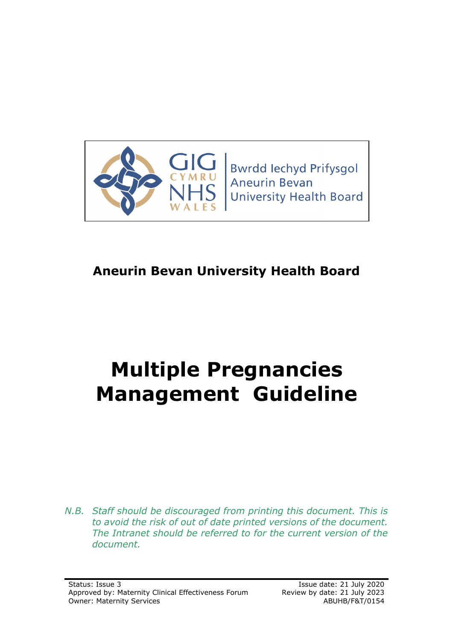

# **Aneurin Bevan University Health Board**

# **Multiple Pregnancies Management Guideline**

*N.B. Staff should be discouraged from printing this document. This is to avoid the risk of out of date printed versions of the document. The Intranet should be referred to for the current version of the document.*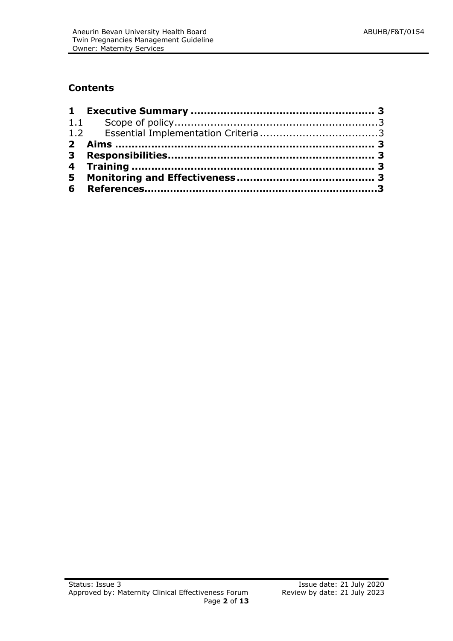# **Contents**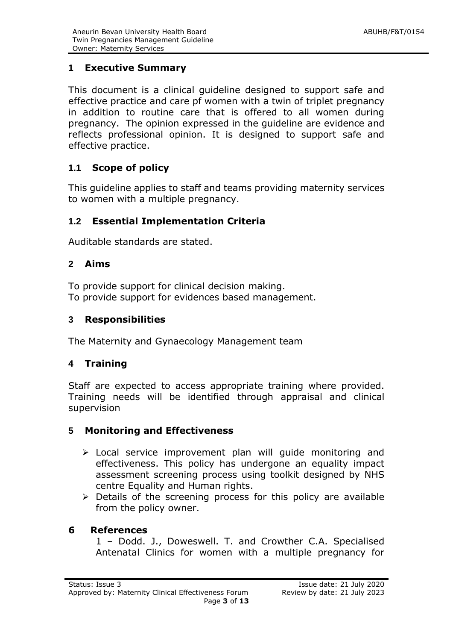# <span id="page-2-0"></span>**1 Executive Summary**

This document is a clinical guideline designed to support safe and effective practice and care pf women with a twin of triplet pregnancy in addition to routine care that is offered to all women during pregnancy. The opinion expressed in the guideline are evidence and reflects professional opinion. It is designed to support safe and effective practice.

# <span id="page-2-1"></span>**1.1 Scope of policy**

This guideline applies to staff and teams providing maternity services to women with a multiple pregnancy.

# <span id="page-2-2"></span>**1.2 Essential Implementation Criteria**

Auditable standards are stated.

## <span id="page-2-3"></span>**2 Aims**

To provide support for clinical decision making. To provide support for evidences based management.

# <span id="page-2-4"></span>**3 Responsibilities**

The Maternity and Gynaecology Management team

# <span id="page-2-5"></span>**4 Training**

Staff are expected to access appropriate training where provided. Training needs will be identified through appraisal and clinical supervision

# <span id="page-2-6"></span>**5 Monitoring and Effectiveness**

- > Local service improvement plan will guide monitoring and effectiveness. This policy has undergone an equality impact assessment screening process using toolkit designed by NHS centre Equality and Human rights.
- $\triangleright$  Details of the screening process for this policy are available from the policy owner.

# **6 References**

1 – Dodd. J., Doweswell. T. and Crowther C.A. Specialised Antenatal Clinics for women with a multiple pregnancy for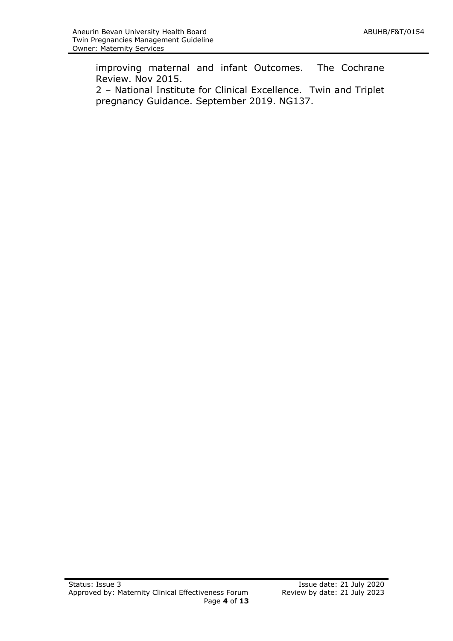improving maternal and infant Outcomes. The Cochrane Review. Nov 2015.

2 – National Institute for Clinical Excellence. Twin and Triplet pregnancy Guidance. September 2019. NG137.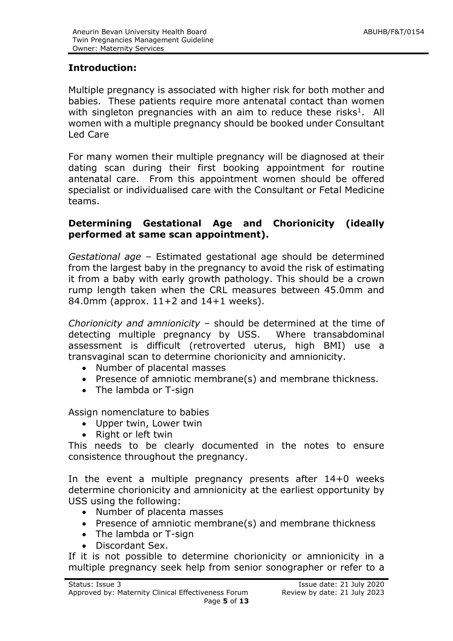# **Introduction:**

Multiple pregnancy is associated with higher risk for both mother and babies. These patients require more antenatal contact than women with singleton pregnancies with an aim to reduce these risks<sup>1</sup>. All women with a multiple pregnancy should be booked under Consultant Led Care

For many women their multiple pregnancy will be diagnosed at their dating scan during their first booking appointment for routine antenatal care. From this appointment women should be offered specialist or individualised care with the Consultant or Fetal Medicine teams.

#### **Determining Gestational Age and Chorionicity (ideally performed at same scan appointment).**

*Gestational age* – Estimated gestational age should be determined from the largest baby in the pregnancy to avoid the risk of estimating it from a baby with early growth pathology. This should be a crown rump length taken when the CRL measures between 45.0mm and 84.0mm (approx.  $11+2$  and  $14+1$  weeks).

*Chorionicity and amnionicity* – should be determined at the time of detecting multiple pregnancy by USS. Where transabdominal assessment is difficult (retroverted uterus, high BMI) use a transvaginal scan to determine chorionicity and amnionicity.

- Number of placental masses
- Presence of amniotic membrane(s) and membrane thickness.
- The lambda or T-sign

Assign nomenclature to babies

- Upper twin, Lower twin
- Right or left twin

This needs to be clearly documented in the notes to ensure consistence throughout the pregnancy.

In the event a multiple pregnancy presents after 14+0 weeks determine chorionicity and amnionicity at the earliest opportunity by USS using the following:

- Number of placenta masses
- Presence of amniotic membrane(s) and membrane thickness
- The lambda or T-sign
- Discordant Sex.

If it is not possible to determine chorionicity or amnionicity in a multiple pregnancy seek help from senior sonographer or refer to a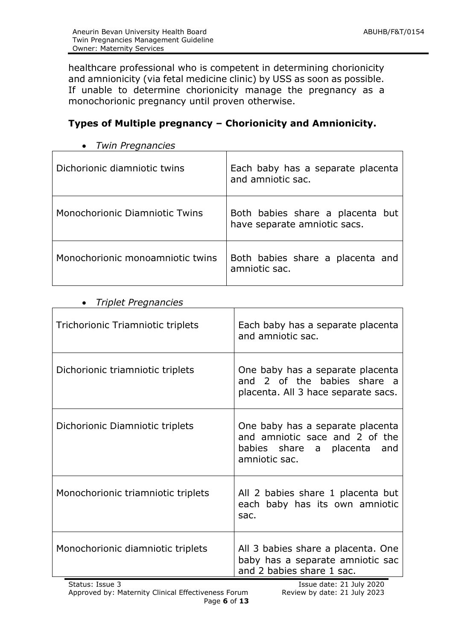healthcare professional who is competent in determining chorionicity and amnionicity (via fetal medicine clinic) by USS as soon as possible. If unable to determine chorionicity manage the pregnancy as a monochorionic pregnancy until proven otherwise.

# **Types of Multiple pregnancy – Chorionicity and Amnionicity.**

| Dichorionic diamniotic twins     | Each baby has a separate placenta<br>and amniotic sac.           |
|----------------------------------|------------------------------------------------------------------|
| Monochorionic Diamniotic Twins   | Both babies share a placenta but<br>have separate amniotic sacs. |
| Monochorionic monoamniotic twins | Both babies share a placenta and<br>amniotic sac.                |

*Twin Pregnancies*

#### *Triplet Pregnancies*

| Trichorionic Triamniotic triplets  | Each baby has a separate placenta<br>and amniotic sac.                                                                |
|------------------------------------|-----------------------------------------------------------------------------------------------------------------------|
| Dichorionic triamniotic triplets   | One baby has a separate placenta<br>and 2 of the babies share a<br>placenta. All 3 hace separate sacs.                |
| Dichorionic Diamniotic triplets    | One baby has a separate placenta<br>and amniotic sace and 2 of the<br>babies share a placenta<br>and<br>amniotic sac. |
| Monochorionic triamniotic triplets | All 2 babies share 1 placenta but<br>each baby has its own amniotic<br>sac.                                           |
| Monochorionic diamniotic triplets  | All 3 babies share a placenta. One<br>baby has a separate amniotic sac<br>and 2 babies share 1 sac.                   |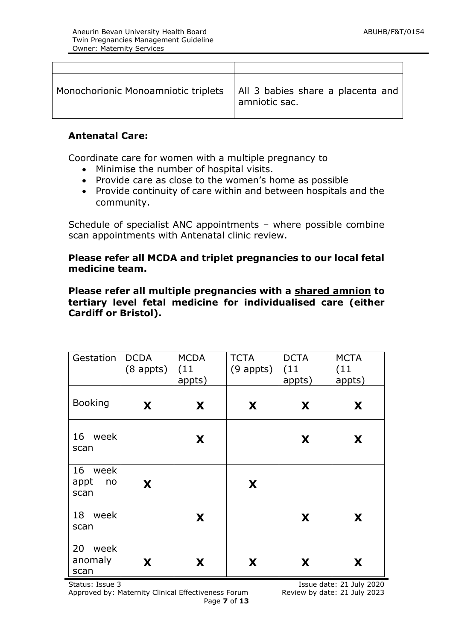| Monochorionic Monoamniotic triplets | All 3 babies share a placenta and<br>amniotic sac. |
|-------------------------------------|----------------------------------------------------|

#### **Antenatal Care:**

Coordinate care for women with a multiple pregnancy to

- Minimise the number of hospital visits.
- Provide care as close to the women's home as possible
- Provide continuity of care within and between hospitals and the community.

Schedule of specialist ANC appointments – where possible combine scan appointments with Antenatal clinic review.

#### **Please refer all MCDA and triplet pregnancies to our local fetal medicine team.**

**Please refer all multiple pregnancies with a shared amnion to tertiary level fetal medicine for individualised care (either Cardiff or Bristol).** 

| Gestation                     | <b>DCDA</b><br>$(8$ appts) | <b>MCDA</b><br>(11)<br>appts) | <b>TCTA</b><br>$(9$ appts) | <b>DCTA</b><br>(11)<br>appts) | <b>MCTA</b><br>(11)<br>appts) |
|-------------------------------|----------------------------|-------------------------------|----------------------------|-------------------------------|-------------------------------|
| <b>Booking</b>                | X                          | X                             | X                          | X                             | X                             |
| 16 week<br>scan               |                            | X                             |                            | X                             | X                             |
| 16 week<br>appt<br>no<br>scan | X                          |                               | X                          |                               |                               |
| 18 week<br>scan               |                            | X                             |                            | X                             | X                             |
| 20<br>week<br>anomaly<br>scan | X                          | X                             | X                          | X                             | X                             |

Status: Issue 3 Issue 3 Issue date: 21 July 2020 Approved by: Maternity Clinical Effectiveness Forum Review by date: 21 July 2023 Page **7** of **13**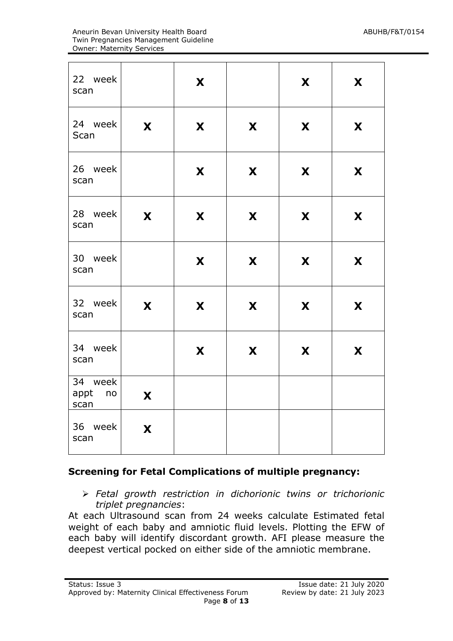| 22 week<br>scan            |   | X |   | X | X |
|----------------------------|---|---|---|---|---|
| 24 week<br>Scan            | X | X | X | X | X |
| 26 week<br>scan            |   | X | X | X | X |
| 28 week<br>scan            | X | X | X | X | X |
| 30 week<br>scan            |   | X | X | X | X |
| 32 week<br>scan            | X | X | X | X | X |
| 34 week<br>scan            |   | X | X | X | X |
| 34 week<br>appt no<br>scan | X |   |   |   |   |
| 36 week<br>scan            | X |   |   |   |   |

#### **Screening for Fetal Complications of multiple pregnancy:**

 *Fetal growth restriction in dichorionic twins or trichorionic triplet pregnancies*:

At each Ultrasound scan from 24 weeks calculate Estimated fetal weight of each baby and amniotic fluid levels. Plotting the EFW of each baby will identify discordant growth. AFI please measure the deepest vertical pocked on either side of the amniotic membrane.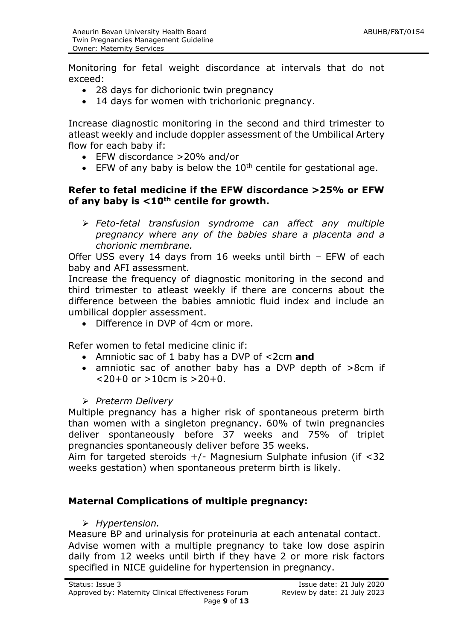Monitoring for fetal weight discordance at intervals that do not exceed:

- 28 days for dichorionic twin pregnancy
- 14 days for women with trichorionic pregnancy.

Increase diagnostic monitoring in the second and third trimester to atleast weekly and include doppler assessment of the Umbilical Artery flow for each baby if:

- EFW discordance >20% and/or
- $\bullet$  EFW of any baby is below the 10<sup>th</sup> centile for gestational age.

#### **Refer to fetal medicine if the EFW discordance >25% or EFW of any baby is <10th centile for growth.**

 *Feto-fetal transfusion syndrome can affect any multiple pregnancy where any of the babies share a placenta and a chorionic membrane.*

Offer USS every 14 days from 16 weeks until birth – EFW of each baby and AFI assessment.

Increase the frequency of diagnostic monitoring in the second and third trimester to atleast weekly if there are concerns about the difference between the babies amniotic fluid index and include an umbilical doppler assessment.

Difference in DVP of 4cm or more.

Refer women to fetal medicine clinic if:

- Amniotic sac of 1 baby has a DVP of <2cm **and**
- amniotic sac of another baby has a DVP depth of >8cm if  $< 20+0$  or  $> 10$  cm is  $> 20+0$ .

*Preterm Delivery*

Multiple pregnancy has a higher risk of spontaneous preterm birth than women with a singleton pregnancy. 60% of twin pregnancies deliver spontaneously before 37 weeks and 75% of triplet pregnancies spontaneously deliver before 35 weeks.

Aim for targeted steroids  $+/-$  Magnesium Sulphate infusion (if <32 weeks gestation) when spontaneous preterm birth is likely.

#### **Maternal Complications of multiple pregnancy:**

*Hypertension.*

Measure BP and urinalysis for proteinuria at each antenatal contact. Advise women with a multiple pregnancy to take low dose aspirin daily from 12 weeks until birth if they have 2 or more risk factors specified in NICE guideline for hypertension in pregnancy.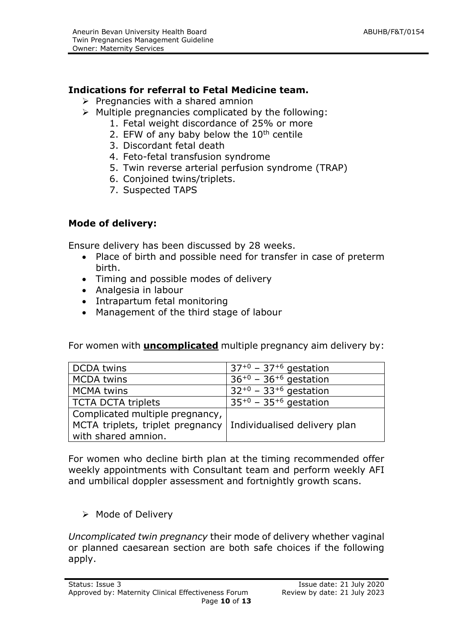# **Indications for referral to Fetal Medicine team.**

- $\triangleright$  Pregnancies with a shared amnion
- $\triangleright$  Multiple pregnancies complicated by the following:
	- 1. Fetal weight discordance of 25% or more
	- 2. EFW of any baby below the  $10<sup>th</sup>$  centile
	- 3. Discordant fetal death
	- 4. Feto-fetal transfusion syndrome
	- 5. Twin reverse arterial perfusion syndrome (TRAP)
	- 6. Conjoined twins/triplets.
	- 7. Suspected TAPS

# **Mode of delivery:**

Ensure delivery has been discussed by 28 weeks.

- Place of birth and possible need for transfer in case of preterm birth.
- Timing and possible modes of delivery
- Analgesia in labour
- Intrapartum fetal monitoring
- Management of the third stage of labour

For women with **uncomplicated** multiple pregnancy aim delivery by:

| <b>DCDA</b> twins                | $37^{+0}$ – 37 <sup>+6</sup> gestation |
|----------------------------------|----------------------------------------|
| <b>MCDA twins</b>                | $36^{+0}$ – 36 <sup>+6</sup> gestation |
| <b>MCMA</b> twins                | $32^{+0}$ – 33 <sup>+6</sup> gestation |
| <b>TCTA DCTA triplets</b>        | $35^{+0}$ – 35 <sup>+6</sup> gestation |
| Complicated multiple pregnancy,  |                                        |
| MCTA triplets, triplet pregnancy | Individualised delivery plan           |
| with shared amnion.              |                                        |

For women who decline birth plan at the timing recommended offer weekly appointments with Consultant team and perform weekly AFI and umbilical doppler assessment and fortnightly growth scans.

 $\triangleright$  Mode of Delivery

*Uncomplicated twin pregnancy* their mode of delivery whether vaginal or planned caesarean section are both safe choices if the following apply.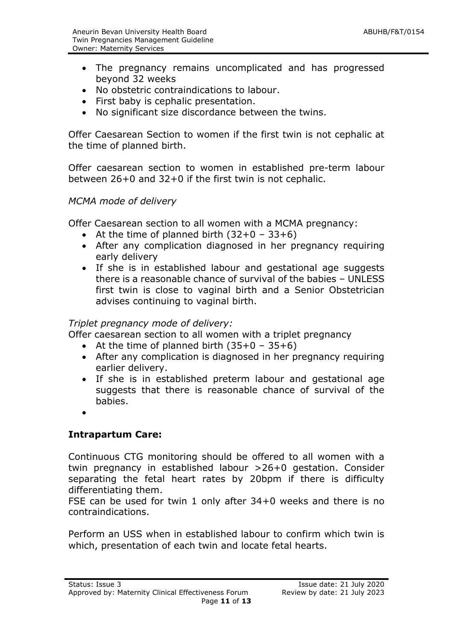- The pregnancy remains uncomplicated and has progressed beyond 32 weeks
- No obstetric contraindications to labour.
- First baby is cephalic presentation.
- No significant size discordance between the twins.

Offer Caesarean Section to women if the first twin is not cephalic at the time of planned birth.

Offer caesarean section to women in established pre-term labour between 26+0 and 32+0 if the first twin is not cephalic.

#### *MCMA mode of delivery*

Offer Caesarean section to all women with a MCMA pregnancy:

- At the time of planned birth  $(32+0 33+6)$
- After any complication diagnosed in her pregnancy requiring early delivery
- If she is in established labour and gestational age suggests there is a reasonable chance of survival of the babies – UNLESS first twin is close to vaginal birth and a Senior Obstetrician advises continuing to vaginal birth.

#### *Triplet pregnancy mode of delivery:*

Offer caesarean section to all women with a triplet pregnancy

- At the time of planned birth  $(35+0 35+6)$
- After any complication is diagnosed in her pregnancy requiring earlier delivery.
- If she is in established preterm labour and gestational age suggests that there is reasonable chance of survival of the babies.
- $\bullet$

# **Intrapartum Care:**

Continuous CTG monitoring should be offered to all women with a twin pregnancy in established labour >26+0 gestation. Consider separating the fetal heart rates by 20bpm if there is difficulty differentiating them.

FSE can be used for twin 1 only after 34+0 weeks and there is no contraindications.

Perform an USS when in established labour to confirm which twin is which, presentation of each twin and locate fetal hearts.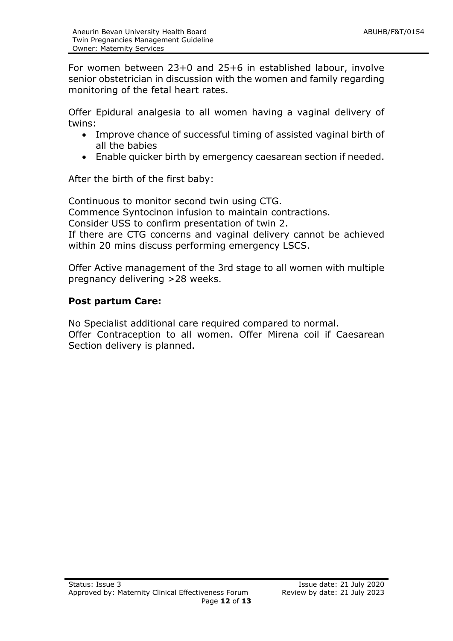For women between 23+0 and 25+6 in established labour, involve senior obstetrician in discussion with the women and family regarding monitoring of the fetal heart rates.

Offer Epidural analgesia to all women having a vaginal delivery of twins:

- Improve chance of successful timing of assisted vaginal birth of all the babies
- Enable quicker birth by emergency caesarean section if needed.

After the birth of the first baby:

Continuous to monitor second twin using CTG. Commence Syntocinon infusion to maintain contractions. Consider USS to confirm presentation of twin 2. If there are CTG concerns and vaginal delivery cannot be achieved within 20 mins discuss performing emergency LSCS.

Offer Active management of the 3rd stage to all women with multiple pregnancy delivering >28 weeks.

## **Post partum Care:**

No Specialist additional care required compared to normal. Offer Contraception to all women. Offer Mirena coil if Caesarean Section delivery is planned.